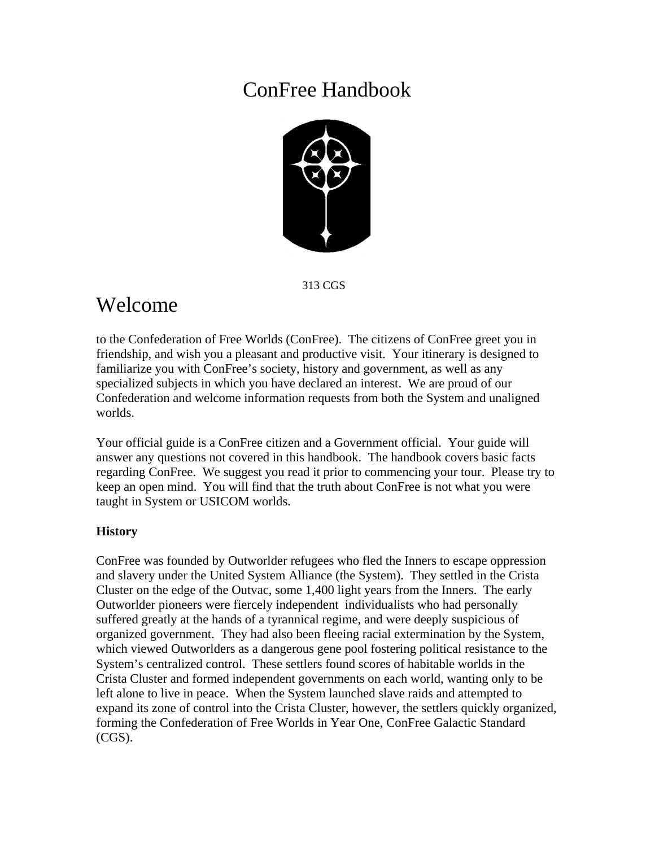# ConFree Handbook



313 CGS

# Welcome

to the Confederation of Free Worlds (ConFree). The citizens of ConFree greet you in friendship, and wish you a pleasant and productive visit. Your itinerary is designed to familiarize you with ConFree's society, history and government, as well as any specialized subjects in which you have declared an interest. We are proud of our Confederation and welcome information requests from both the System and unaligned worlds.

Your official guide is a ConFree citizen and a Government official. Your guide will answer any questions not covered in this handbook. The handbook covers basic facts regarding ConFree. We suggest you read it prior to commencing your tour. Please try to keep an open mind. You will find that the truth about ConFree is not what you were taught in System or USICOM worlds.

# **History**

ConFree was founded by Outworlder refugees who fled the Inners to escape oppression and slavery under the United System Alliance (the System). They settled in the Crista Cluster on the edge of the Outvac, some 1,400 light years from the Inners. The early Outworlder pioneers were fiercely independent individualists who had personally suffered greatly at the hands of a tyrannical regime, and were deeply suspicious of organized government. They had also been fleeing racial extermination by the System, which viewed Outworlders as a dangerous gene pool fostering political resistance to the System's centralized control. These settlers found scores of habitable worlds in the Crista Cluster and formed independent governments on each world, wanting only to be left alone to live in peace. When the System launched slave raids and attempted to expand its zone of control into the Crista Cluster, however, the settlers quickly organized, forming the Confederation of Free Worlds in Year One, ConFree Galactic Standard (CGS).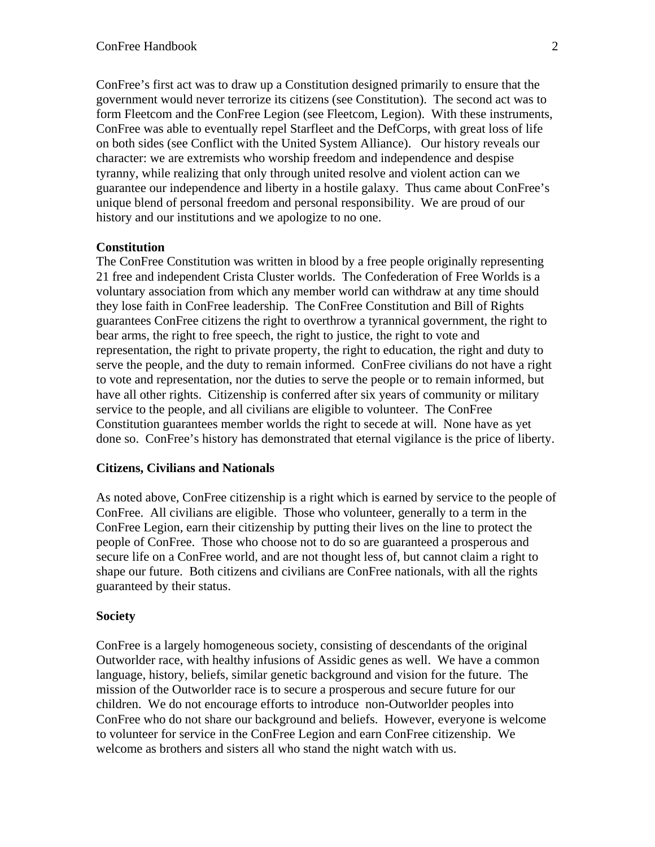ConFree's first act was to draw up a Constitution designed primarily to ensure that the government would never terrorize its citizens (see Constitution). The second act was to form Fleetcom and the ConFree Legion (see Fleetcom, Legion). With these instruments, ConFree was able to eventually repel Starfleet and the DefCorps, with great loss of life on both sides (see Conflict with the United System Alliance). Our history reveals our character: we are extremists who worship freedom and independence and despise tyranny, while realizing that only through united resolve and violent action can we guarantee our independence and liberty in a hostile galaxy. Thus came about ConFree's unique blend of personal freedom and personal responsibility. We are proud of our history and our institutions and we apologize to no one.

#### **Constitution**

The ConFree Constitution was written in blood by a free people originally representing 21 free and independent Crista Cluster worlds. The Confederation of Free Worlds is a voluntary association from which any member world can withdraw at any time should they lose faith in ConFree leadership. The ConFree Constitution and Bill of Rights guarantees ConFree citizens the right to overthrow a tyrannical government, the right to bear arms, the right to free speech, the right to justice, the right to vote and representation, the right to private property, the right to education, the right and duty to serve the people, and the duty to remain informed. ConFree civilians do not have a right to vote and representation, nor the duties to serve the people or to remain informed, but have all other rights. Citizenship is conferred after six years of community or military service to the people, and all civilians are eligible to volunteer. The ConFree Constitution guarantees member worlds the right to secede at will. None have as yet done so. ConFree's history has demonstrated that eternal vigilance is the price of liberty.

#### **Citizens, Civilians and Nationals**

As noted above, ConFree citizenship is a right which is earned by service to the people of ConFree. All civilians are eligible. Those who volunteer, generally to a term in the ConFree Legion, earn their citizenship by putting their lives on the line to protect the people of ConFree. Those who choose not to do so are guaranteed a prosperous and secure life on a ConFree world, and are not thought less of, but cannot claim a right to shape our future. Both citizens and civilians are ConFree nationals, with all the rights guaranteed by their status.

#### **Society**

ConFree is a largely homogeneous society, consisting of descendants of the original Outworlder race, with healthy infusions of Assidic genes as well. We have a common language, history, beliefs, similar genetic background and vision for the future. The mission of the Outworlder race is to secure a prosperous and secure future for our children. We do not encourage efforts to introduce non-Outworlder peoples into ConFree who do not share our background and beliefs. However, everyone is welcome to volunteer for service in the ConFree Legion and earn ConFree citizenship. We welcome as brothers and sisters all who stand the night watch with us.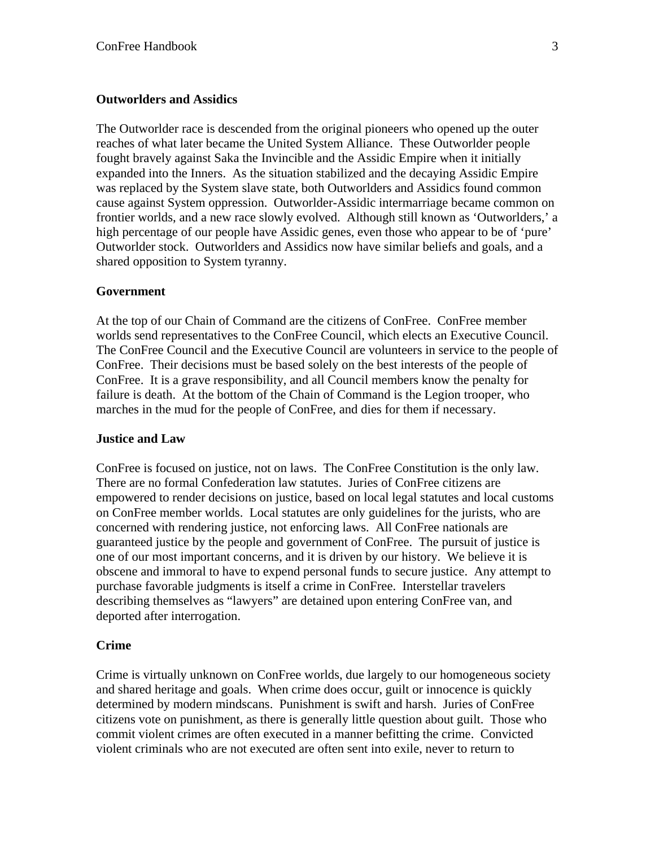#### **Outworlders and Assidics**

The Outworlder race is descended from the original pioneers who opened up the outer reaches of what later became the United System Alliance. These Outworlder people fought bravely against Saka the Invincible and the Assidic Empire when it initially expanded into the Inners. As the situation stabilized and the decaying Assidic Empire was replaced by the System slave state, both Outworlders and Assidics found common cause against System oppression. Outworlder-Assidic intermarriage became common on frontier worlds, and a new race slowly evolved. Although still known as 'Outworlders,' a high percentage of our people have Assidic genes, even those who appear to be of 'pure' Outworlder stock. Outworlders and Assidics now have similar beliefs and goals, and a shared opposition to System tyranny.

#### **Government**

At the top of our Chain of Command are the citizens of ConFree. ConFree member worlds send representatives to the ConFree Council, which elects an Executive Council. The ConFree Council and the Executive Council are volunteers in service to the people of ConFree. Their decisions must be based solely on the best interests of the people of ConFree. It is a grave responsibility, and all Council members know the penalty for failure is death. At the bottom of the Chain of Command is the Legion trooper, who marches in the mud for the people of ConFree, and dies for them if necessary.

#### **Justice and Law**

ConFree is focused on justice, not on laws. The ConFree Constitution is the only law. There are no formal Confederation law statutes. Juries of ConFree citizens are empowered to render decisions on justice, based on local legal statutes and local customs on ConFree member worlds. Local statutes are only guidelines for the jurists, who are concerned with rendering justice, not enforcing laws. All ConFree nationals are guaranteed justice by the people and government of ConFree. The pursuit of justice is one of our most important concerns, and it is driven by our history. We believe it is obscene and immoral to have to expend personal funds to secure justice. Any attempt to purchase favorable judgments is itself a crime in ConFree. Interstellar travelers describing themselves as "lawyers" are detained upon entering ConFree van, and deported after interrogation.

#### **Crime**

Crime is virtually unknown on ConFree worlds, due largely to our homogeneous society and shared heritage and goals. When crime does occur, guilt or innocence is quickly determined by modern mindscans. Punishment is swift and harsh. Juries of ConFree citizens vote on punishment, as there is generally little question about guilt. Those who commit violent crimes are often executed in a manner befitting the crime. Convicted violent criminals who are not executed are often sent into exile, never to return to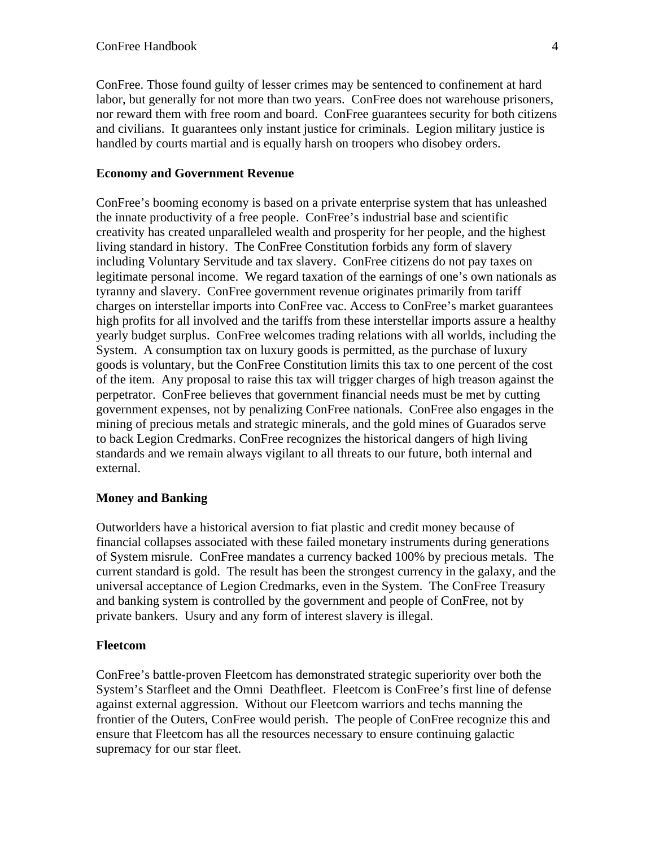ConFree. Those found guilty of lesser crimes may be sentenced to confinement at hard labor, but generally for not more than two years. ConFree does not warehouse prisoners, nor reward them with free room and board. ConFree guarantees security for both citizens and civilians. It guarantees only instant justice for criminals. Legion military justice is handled by courts martial and is equally harsh on troopers who disobey orders.

## **Economy and Government Revenue**

ConFree's booming economy is based on a private enterprise system that has unleashed the innate productivity of a free people. ConFree's industrial base and scientific creativity has created unparalleled wealth and prosperity for her people, and the highest living standard in history. The ConFree Constitution forbids any form of slavery including Voluntary Servitude and tax slavery. ConFree citizens do not pay taxes on legitimate personal income. We regard taxation of the earnings of one's own nationals as tyranny and slavery. ConFree government revenue originates primarily from tariff charges on interstellar imports into ConFree vac. Access to ConFree's market guarantees high profits for all involved and the tariffs from these interstellar imports assure a healthy yearly budget surplus. ConFree welcomes trading relations with all worlds, including the System. A consumption tax on luxury goods is permitted, as the purchase of luxury goods is voluntary, but the ConFree Constitution limits this tax to one percent of the cost of the item. Any proposal to raise this tax will trigger charges of high treason against the perpetrator. ConFree believes that government financial needs must be met by cutting government expenses, not by penalizing ConFree nationals. ConFree also engages in the mining of precious metals and strategic minerals, and the gold mines of Guarados serve to back Legion Credmarks. ConFree recognizes the historical dangers of high living standards and we remain always vigilant to all threats to our future, both internal and external.

## **Money and Banking**

Outworlders have a historical aversion to fiat plastic and credit money because of financial collapses associated with these failed monetary instruments during generations of System misrule. ConFree mandates a currency backed 100% by precious metals. The current standard is gold. The result has been the strongest currency in the galaxy, and the universal acceptance of Legion Credmarks, even in the System. The ConFree Treasury and banking system is controlled by the government and people of ConFree, not by private bankers. Usury and any form of interest slavery is illegal.

## **Fleetcom**

ConFree's battle-proven Fleetcom has demonstrated strategic superiority over both the System's Starfleet and the Omni Deathfleet. Fleetcom is ConFree's first line of defense against external aggression. Without our Fleetcom warriors and techs manning the frontier of the Outers, ConFree would perish. The people of ConFree recognize this and ensure that Fleetcom has all the resources necessary to ensure continuing galactic supremacy for our star fleet.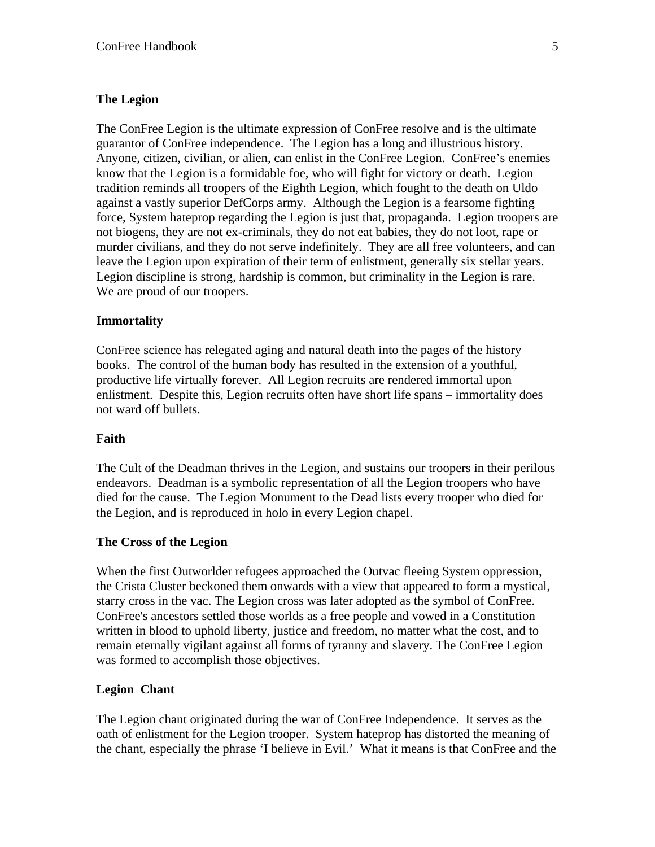## **The Legion**

The ConFree Legion is the ultimate expression of ConFree resolve and is the ultimate guarantor of ConFree independence. The Legion has a long and illustrious history. Anyone, citizen, civilian, or alien, can enlist in the ConFree Legion. ConFree's enemies know that the Legion is a formidable foe, who will fight for victory or death. Legion tradition reminds all troopers of the Eighth Legion, which fought to the death on Uldo against a vastly superior DefCorps army. Although the Legion is a fearsome fighting force, System hateprop regarding the Legion is just that, propaganda. Legion troopers are not biogens, they are not ex-criminals, they do not eat babies, they do not loot, rape or murder civilians, and they do not serve indefinitely. They are all free volunteers, and can leave the Legion upon expiration of their term of enlistment, generally six stellar years. Legion discipline is strong, hardship is common, but criminality in the Legion is rare. We are proud of our troopers.

## **Immortality**

ConFree science has relegated aging and natural death into the pages of the history books. The control of the human body has resulted in the extension of a youthful, productive life virtually forever. All Legion recruits are rendered immortal upon enlistment. Despite this, Legion recruits often have short life spans – immortality does not ward off bullets.

## **Faith**

The Cult of the Deadman thrives in the Legion, and sustains our troopers in their perilous endeavors. Deadman is a symbolic representation of all the Legion troopers who have died for the cause. The Legion Monument to the Dead lists every trooper who died for the Legion, and is reproduced in holo in every Legion chapel.

## **The Cross of the Legion**

When the first Outworlder refugees approached the Outvac fleeing System oppression, the Crista Cluster beckoned them onwards with a view that appeared to form a mystical, starry cross in the vac. The Legion cross was later adopted as the symbol of ConFree. ConFree's ancestors settled those worlds as a free people and vowed in a Constitution written in blood to uphold liberty, justice and freedom, no matter what the cost, and to remain eternally vigilant against all forms of tyranny and slavery. The ConFree Legion was formed to accomplish those objectives.

## **Legion Chant**

The Legion chant originated during the war of ConFree Independence. It serves as the oath of enlistment for the Legion trooper. System hateprop has distorted the meaning of the chant, especially the phrase 'I believe in Evil.' What it means is that ConFree and the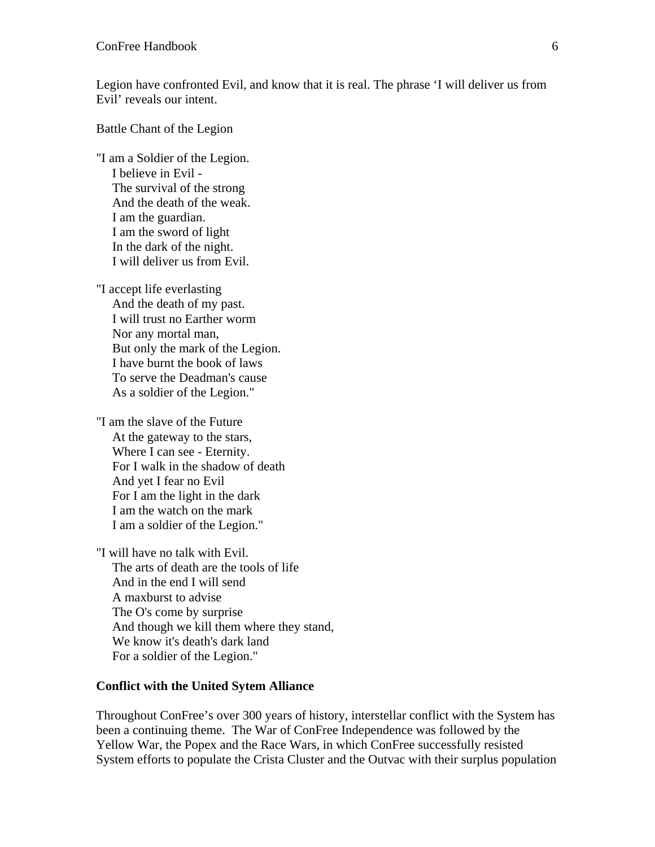Legion have confronted Evil, and know that it is real. The phrase 'I will deliver us from Evil' reveals our intent.

Battle Chant of the Legion

"I am a Soldier of the Legion. I believe in Evil - The survival of the strong And the death of the weak. I am the guardian. I am the sword of light In the dark of the night. I will deliver us from Evil.

"I accept life everlasting And the death of my past. I will trust no Earther worm Nor any mortal man, But only the mark of the Legion. I have burnt the book of laws To serve the Deadman's cause As a soldier of the Legion."

"I am the slave of the Future At the gateway to the stars, Where I can see - Eternity. For I walk in the shadow of death And yet I fear no Evil For I am the light in the dark I am the watch on the mark I am a soldier of the Legion."

"I will have no talk with Evil. The arts of death are the tools of life And in the end I will send A maxburst to advise The O's come by surprise And though we kill them where they stand, We know it's death's dark land For a soldier of the Legion."

#### **Conflict with the United Sytem Alliance**

Throughout ConFree's over 300 years of history, interstellar conflict with the System has been a continuing theme. The War of ConFree Independence was followed by the Yellow War, the Popex and the Race Wars, in which ConFree successfully resisted System efforts to populate the Crista Cluster and the Outvac with their surplus population